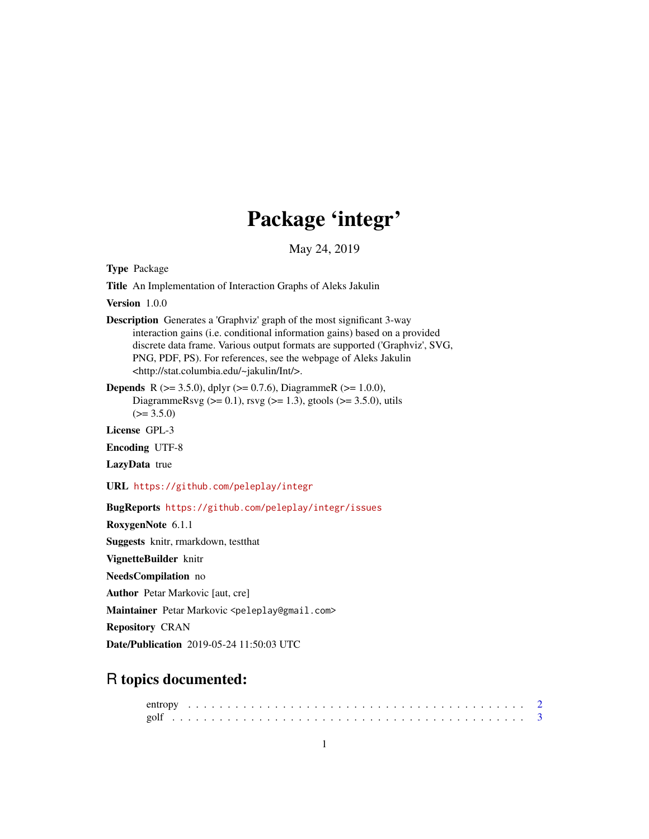## Package 'integr'

May 24, 2019

Type Package

Title An Implementation of Interaction Graphs of Aleks Jakulin

Version 1.0.0

Description Generates a 'Graphviz' graph of the most significant 3-way interaction gains (i.e. conditional information gains) based on a provided discrete data frame. Various output formats are supported ('Graphviz', SVG, PNG, PDF, PS). For references, see the webpage of Aleks Jakulin <http://stat.columbia.edu/~jakulin/Int/>.

**Depends** R ( $>= 3.5.0$ ), dplyr ( $>= 0.7.6$ ), DiagrammeR ( $>= 1.0.0$ ), DiagrammeRsvg ( $>= 0.1$ ), rsvg ( $>= 1.3$ ), gtools ( $>= 3.5.0$ ), utils  $(>= 3.5.0)$ 

License GPL-3

Encoding UTF-8

LazyData true

URL <https://github.com/peleplay/integr>

BugReports <https://github.com/peleplay/integr/issues>

RoxygenNote 6.1.1

Suggests knitr, rmarkdown, testthat

VignetteBuilder knitr

NeedsCompilation no

Author Petar Markovic [aut, cre]

Maintainer Petar Markovic <peleplay@gmail.com>

Repository CRAN

Date/Publication 2019-05-24 11:50:03 UTC

## R topics documented: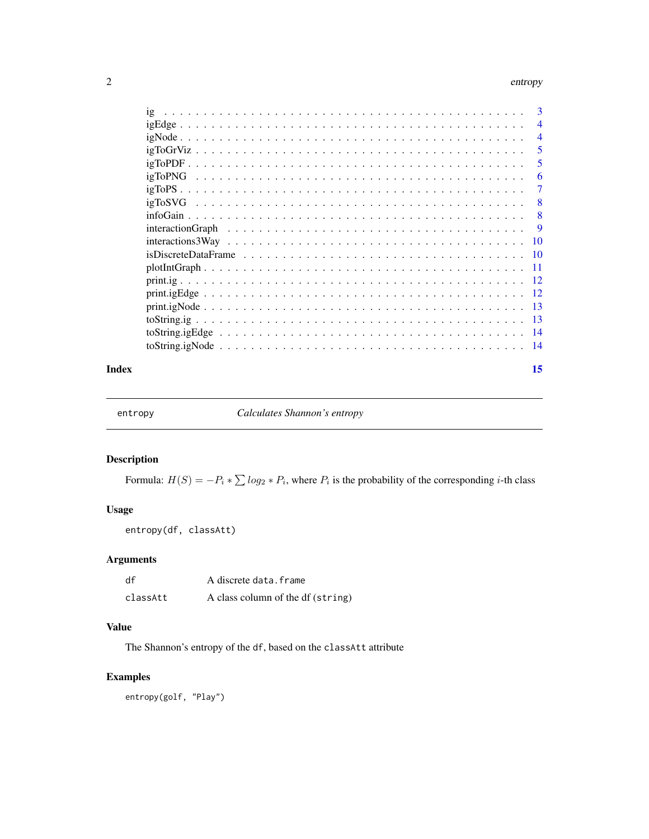#### <span id="page-1-0"></span>2 entropy and the control of the control of the control of the control of the control of the control of the control of the control of the control of the control of the control of the control of the control of the control o

|       | - 5            |
|-------|----------------|
|       | $\overline{5}$ |
|       | -6             |
|       |                |
|       |                |
|       |                |
|       |                |
|       |                |
|       |                |
|       |                |
|       |                |
|       |                |
|       |                |
|       |                |
|       |                |
|       |                |
| Index | 15             |

entropy *Calculates Shannon's entropy*

#### Description

Formula:  $H(S) = -P_i * \sum log_2 * P_i$ , where  $P_i$  is the probability of the corresponding *i*-th class

#### Usage

entropy(df, classAtt)

#### Arguments

| df       | A discrete data.frame             |
|----------|-----------------------------------|
| classAtt | A class column of the df (string) |

#### Value

The Shannon's entropy of the df, based on the classAtt attribute

#### Examples

entropy(golf, "Play")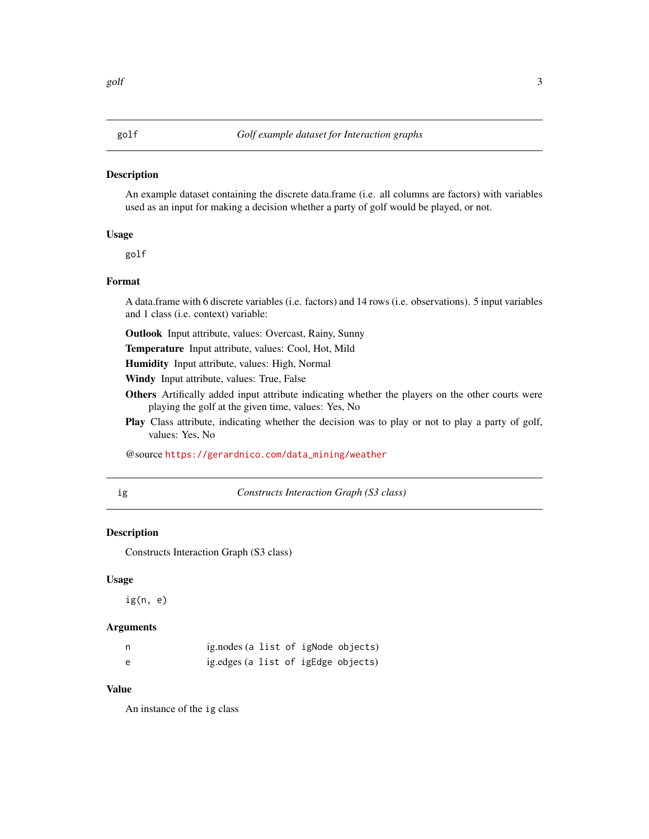<span id="page-2-0"></span>An example dataset containing the discrete data.frame (i.e. all columns are factors) with variables used as an input for making a decision whether a party of golf would be played, or not.

#### Usage

golf

#### Format

A data.frame with 6 discrete variables (i.e. factors) and 14 rows (i.e. observations). 5 input variables and 1 class (i.e. context) variable:

Outlook Input attribute, values: Overcast, Rainy, Sunny

Temperature Input attribute, values: Cool, Hot, Mild

Humidity Input attribute, values: High, Normal

Windy Input attribute, values: True, False

- Others Artifically added input attribute indicating whether the players on the other courts were playing the golf at the given time, values: Yes, No
- Play Class attribute, indicating whether the decision was to play or not to play a party of golf, values: Yes, No

@source [https://gerardnico.com/data\\_mining/weather](https://gerardnico.com/data_mining/weather)

ig *Constructs Interaction Graph (S3 class)*

#### Description

Constructs Interaction Graph (S3 class)

#### Usage

ig(n, e)

#### **Arguments**

| n | ig.nodes (a list of igNode objects) |  |  |
|---|-------------------------------------|--|--|
| e | ig.edges (a list of igEdge objects) |  |  |

#### Value

An instance of the ig class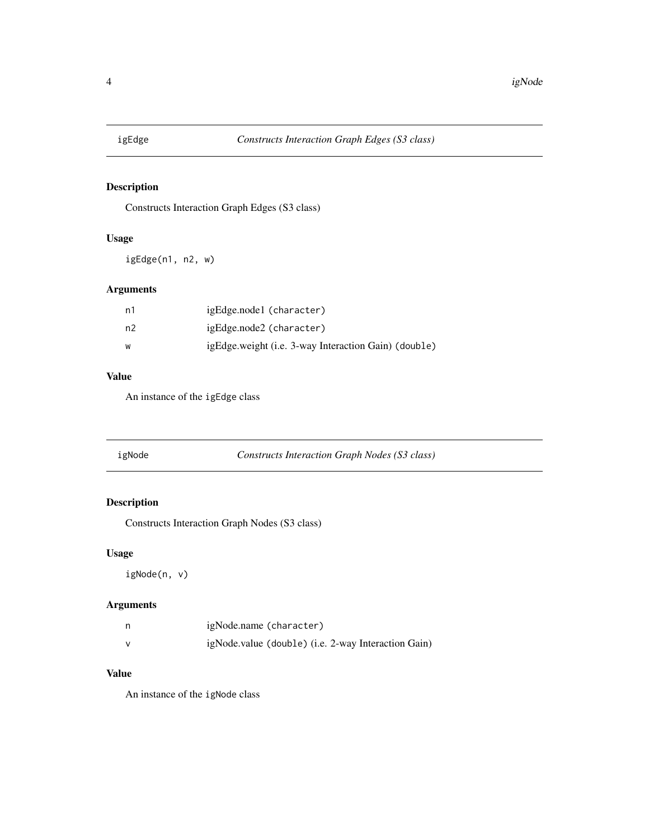<span id="page-3-0"></span>

Constructs Interaction Graph Edges (S3 class)

#### Usage

igEdge(n1, n2, w)

#### Arguments

| n1 | igEdge.node1 (character)                             |
|----|------------------------------------------------------|
| n2 | igEdge.node2 (character)                             |
| W  | igEdge.weight (i.e. 3-way Interaction Gain) (double) |

#### Value

An instance of the igEdge class

| igNode | Constructs Interaction Graph Nodes (S3 class) |
|--------|-----------------------------------------------|
|        |                                               |

#### Description

Constructs Interaction Graph Nodes (S3 class)

#### Usage

igNode(n, v)

#### Arguments

| n | igNode.name (character)                             |
|---|-----------------------------------------------------|
| v | igNode.value (double) (i.e. 2-way Interaction Gain) |

#### Value

An instance of the igNode class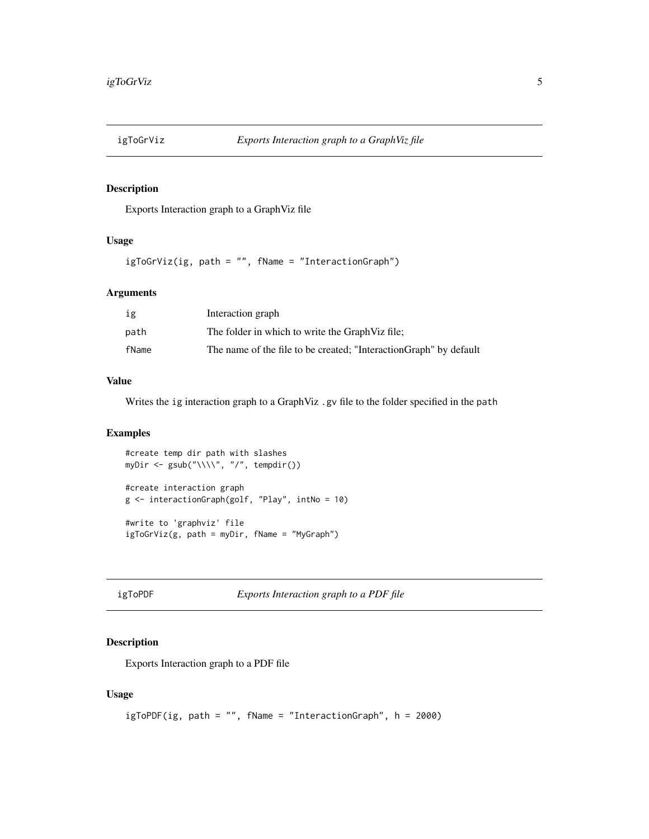<span id="page-4-0"></span>

Exports Interaction graph to a GraphViz file

#### Usage

igToGrViz(ig, path = "", fName = "InteractionGraph")

#### Arguments

| ig    | Interaction graph                                                  |
|-------|--------------------------------------------------------------------|
| path  | The folder in which to write the Graph Viz file;                   |
| fName | The name of the file to be created; "Interaction Graph" by default |

#### Value

Writes the ig interaction graph to a GraphViz .gv file to the folder specified in the path

#### Examples

```
#create temp dir path with slashes
myDir <- gsub("\\\\", "/", tempdir())
#create interaction graph
g <- interactionGraph(golf, "Play", intNo = 10)
```
#write to 'graphviz' file igToGrViz(g, path = myDir, fName = "MyGraph")

igToPDF *Exports Interaction graph to a PDF file*

#### Description

Exports Interaction graph to a PDF file

#### Usage

```
igToPDF(ig, path = "", fName = "InteractionGraph", h = 2000)
```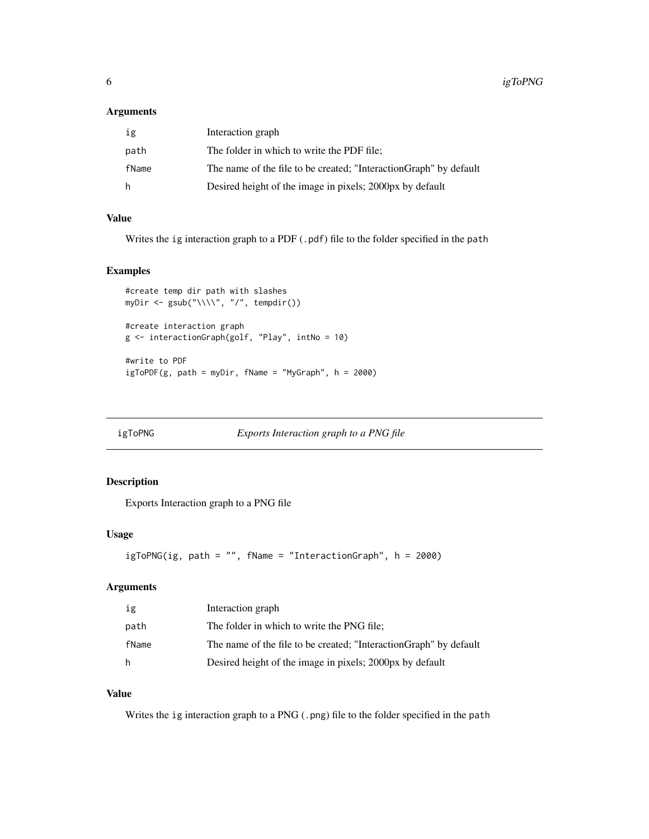#### <span id="page-5-0"></span>Arguments

| ig    | Interaction graph                                                  |
|-------|--------------------------------------------------------------------|
| path  | The folder in which to write the PDF file:                         |
| fName | The name of the file to be created; "Interaction Graph" by default |
| h     | Desired height of the image in pixels; 2000px by default           |

#### Value

Writes the ig interaction graph to a PDF (.pdf) file to the folder specified in the path

#### Examples

```
#create temp dir path with slashes
myDir <- gsub("\\\\\\', "/", tempdir())
#create interaction graph
g <- interactionGraph(golf, "Play", intNo = 10)
#write to PDF
igToPDF(g, path = myDir, fName = "MyGraph", h = 2000)
```
igToPNG *Exports Interaction graph to a PNG file*

#### Description

Exports Interaction graph to a PNG file

#### Usage

```
igToPNG(ig, path = "", fName = "InteractionGraph", h = 2000)
```
#### Arguments

| ig    | Interaction graph                                                  |
|-------|--------------------------------------------------------------------|
| path  | The folder in which to write the PNG file;                         |
| fName | The name of the file to be created; "Interaction Graph" by default |
| h     | Desired height of the image in pixels; 2000px by default           |

#### Value

Writes the ig interaction graph to a PNG (.png) file to the folder specified in the path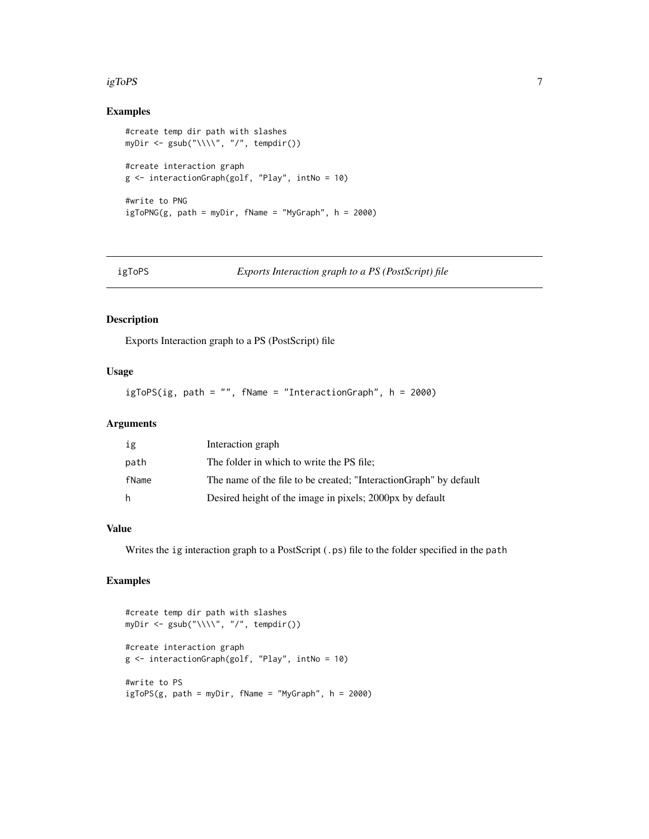#### <span id="page-6-0"></span> $i$ gToPS  $\hskip 1.0cm$

#### Examples

```
#create temp dir path with slashes
myDir <- gsub("\\\\", "/", tempdir())
#create interaction graph
g <- interactionGraph(golf, "Play", intNo = 10)
#write to PNG
igToPNG(g, path = myDir, fName = "MyGraph", h = 2000)
```
igToPS *Exports Interaction graph to a PS (PostScript) file*

#### Description

Exports Interaction graph to a PS (PostScript) file

#### Usage

igToPS(ig, path = "", fName = "InteractionGraph", h = 2000)

#### Arguments

| ig    | Interaction graph                                                 |
|-------|-------------------------------------------------------------------|
| path  | The folder in which to write the PS file;                         |
| fName | The name of the file to be created; "InteractionGraph" by default |
| h     | Desired height of the image in pixels; 2000px by default          |

#### Value

Writes the ig interaction graph to a PostScript (.ps) file to the folder specified in the path

#### Examples

```
#create temp dir path with slashes
myDir <- gsub("\\\\\\', "/", tempdir())
#create interaction graph
g <- interactionGraph(golf, "Play", intNo = 10)
#write to PS
igToPS(g, path = myDir, fName = "MyGraph", h = 2000)
```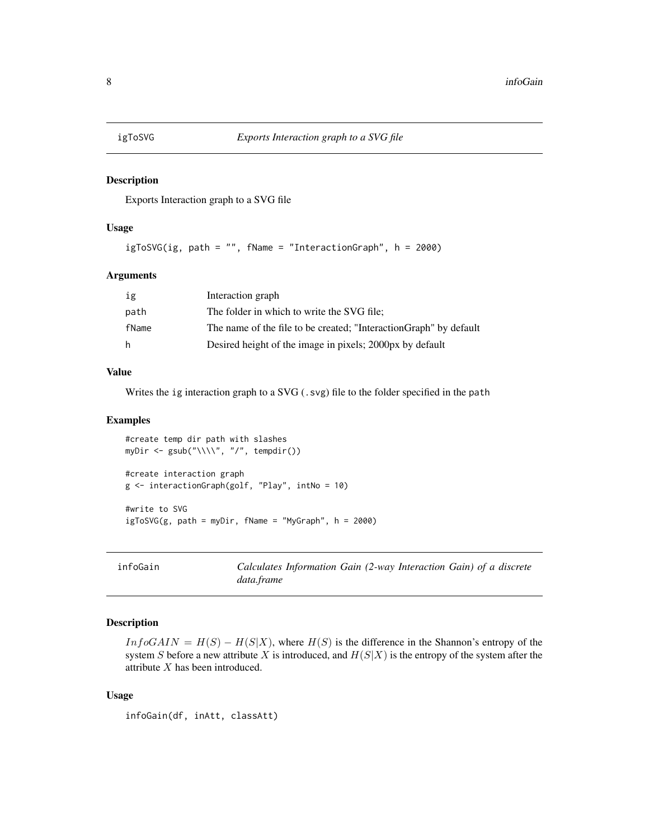<span id="page-7-0"></span>

Exports Interaction graph to a SVG file

#### Usage

igToSVG(ig, path = "", fName = "InteractionGraph", h = 2000)

#### Arguments

| ig    | Interaction graph                                                  |
|-------|--------------------------------------------------------------------|
| path  | The folder in which to write the SVG file;                         |
| fName | The name of the file to be created; "Interaction Graph" by default |
| h.    | Desired height of the image in pixels; 2000px by default           |

#### Value

Writes the ig interaction graph to a SVG (.svg) file to the folder specified in the path

#### Examples

```
#create temp dir path with slashes
myDir <- gsub("\\\\\\', "/", tempdir())
#create interaction graph
g <- interactionGraph(golf, "Play", intNo = 10)
#write to SVG
igToSVG(g, path = myDir, fName = "MyGraph", h = 2000)
```
infoGain *Calculates Information Gain (2-way Interaction Gain) of a discrete data.frame*

#### Description

 $InfoGAIN = H(S) - H(S|X)$ , where  $H(S)$  is the difference in the Shannon's entropy of the system S before a new attribute X is introduced, and  $H(S|X)$  is the entropy of the system after the attribute X has been introduced.

#### Usage

infoGain(df, inAtt, classAtt)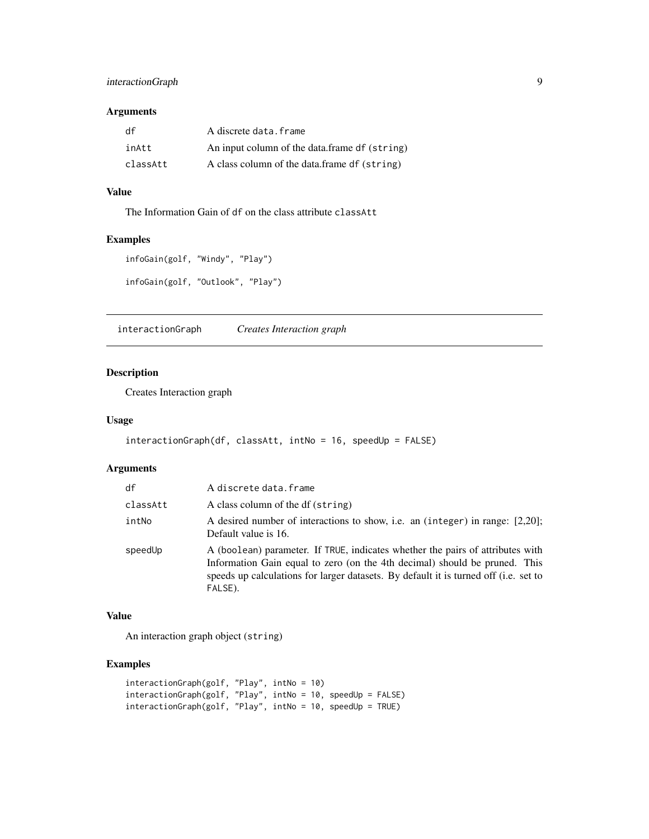#### <span id="page-8-0"></span>interactionGraph 9

#### Arguments

| df       | A discrete data.frame                         |
|----------|-----------------------------------------------|
| inAtt    | An input column of the data.frame df (string) |
| classAtt | A class column of the data.frame df (string)  |

### Value

The Information Gain of df on the class attribute classAtt

#### Examples

```
infoGain(golf, "Windy", "Play")
infoGain(golf, "Outlook", "Play")
```
interactionGraph *Creates Interaction graph*

#### Description

Creates Interaction graph

#### Usage

```
interactionGraph(df, classAtt, intNo = 16, speedUp = FALSE)
```
#### Arguments

| df       | A discrete data.frame                                                                                                                                                                                                                                           |
|----------|-----------------------------------------------------------------------------------------------------------------------------------------------------------------------------------------------------------------------------------------------------------------|
| classAtt | A class column of the df (string)                                                                                                                                                                                                                               |
| intNo    | A desired number of interactions to show, i.e. an (integer) in range: [2,20];<br>Default value is 16.                                                                                                                                                           |
| speedUp  | A (boolean) parameter. If TRUE, indicates whether the pairs of attributes with<br>Information Gain equal to zero (on the 4th decimal) should be pruned. This<br>speeds up calculations for larger datasets. By default it is turned off (i.e. set to<br>FALSE). |

#### Value

An interaction graph object (string)

#### Examples

```
interactionGraph(golf, "Play", intNo = 10)
interactionGraph(golf, "Play", intNo = 10, speedUp = FALSE)
interactionGraph(golf, "Play", intNo = 10, speedUp = TRUE)
```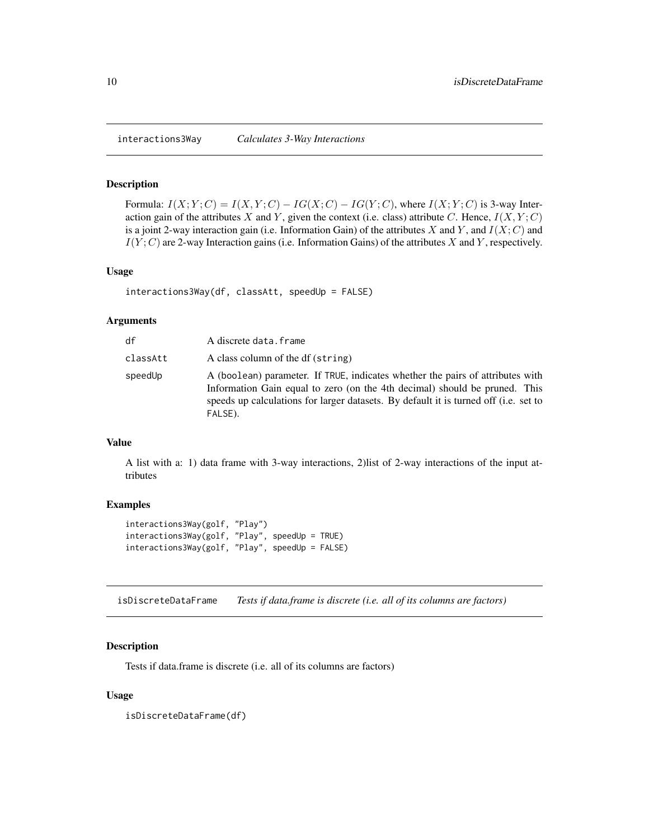Formula:  $I(X; Y; C) = I(X, Y; C) - IG(X; C) - IG(Y; C)$ , where  $I(X; Y; C)$  is 3-way Interaction gain of the attributes X and Y, given the context (i.e. class) attribute C. Hence,  $I(X, Y; C)$ is a joint 2-way interaction gain (i.e. Information Gain) of the attributes X and Y, and  $I(X; C)$  and  $I(Y; C)$  are 2-way Interaction gains (i.e. Information Gains) of the attributes X and Y, respectively.

#### Usage

```
interactions3Way(df, classAtt, speedUp = FALSE)
```
#### Arguments

| df       | A discrete data.frame                                                                                                                                                                                                                                           |
|----------|-----------------------------------------------------------------------------------------------------------------------------------------------------------------------------------------------------------------------------------------------------------------|
| classAtt | A class column of the df (string)                                                                                                                                                                                                                               |
| speedUp  | A (boolean) parameter. If TRUE, indicates whether the pairs of attributes with<br>Information Gain equal to zero (on the 4th decimal) should be pruned. This<br>speeds up calculations for larger datasets. By default it is turned off (i.e. set to<br>FALSE). |

#### Value

A list with a: 1) data frame with 3-way interactions, 2)list of 2-way interactions of the input attributes

#### Examples

```
interactions3Way(golf, "Play")
interactions3Way(golf, "Play", speedUp = TRUE)
interactions3Way(golf, "Play", speedUp = FALSE)
```
isDiscreteDataFrame *Tests if data.frame is discrete (i.e. all of its columns are factors)*

#### Description

Tests if data.frame is discrete (i.e. all of its columns are factors)

#### Usage

isDiscreteDataFrame(df)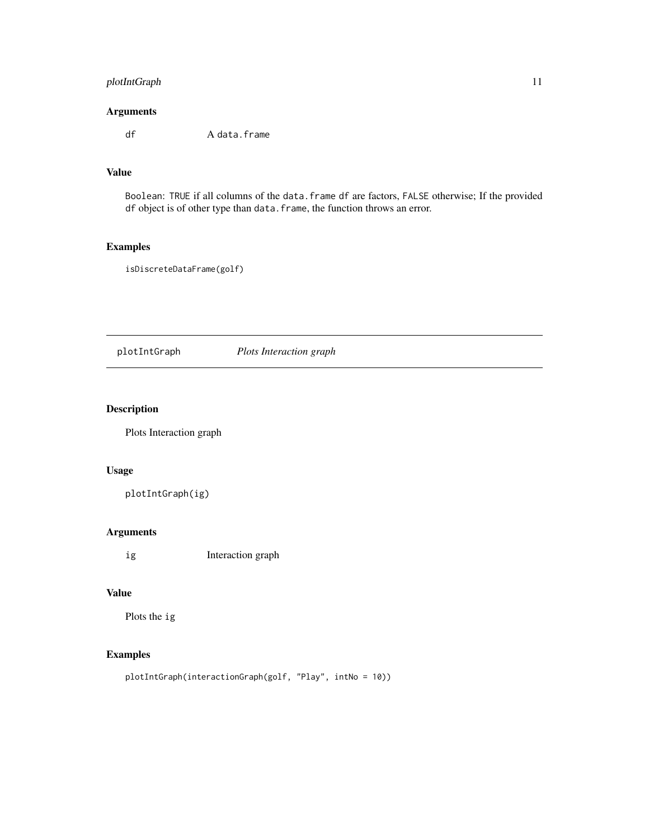#### <span id="page-10-0"></span>plotIntGraph 11

#### Arguments

df A data.frame

#### Value

Boolean: TRUE if all columns of the data.frame df are factors, FALSE otherwise; If the provided df object is of other type than data.frame, the function throws an error.

#### Examples

isDiscreteDataFrame(golf)

plotIntGraph *Plots Interaction graph*

#### Description

Plots Interaction graph

#### Usage

plotIntGraph(ig)

#### Arguments

ig Interaction graph

#### Value

Plots the ig

#### Examples

```
plotIntGraph(interactionGraph(golf, "Play", intNo = 10))
```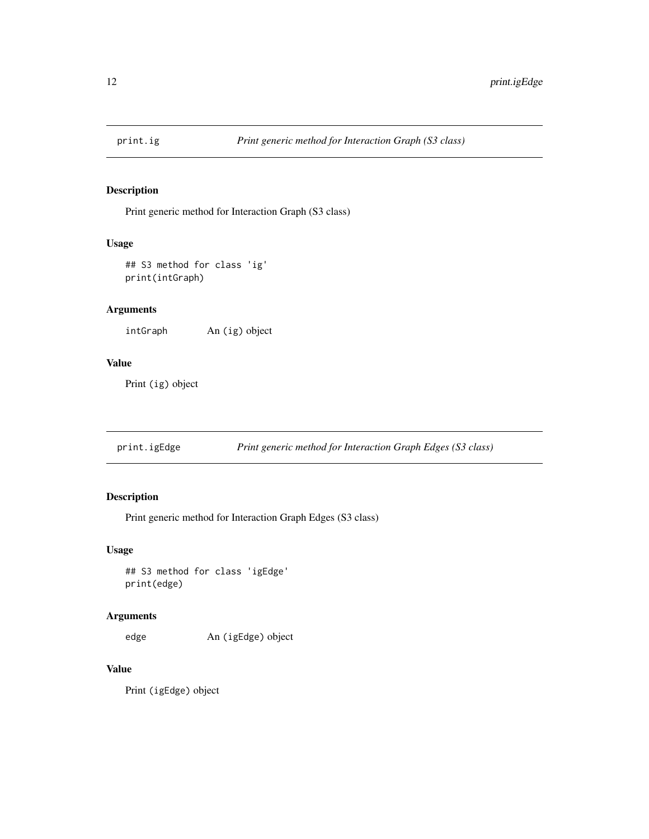<span id="page-11-0"></span>

Print generic method for Interaction Graph (S3 class)

#### Usage

```
## S3 method for class 'ig'
print(intGraph)
```
#### Arguments

intGraph An (ig) object

#### Value

Print (ig) object

print.igEdge *Print generic method for Interaction Graph Edges (S3 class)*

### Description

Print generic method for Interaction Graph Edges (S3 class)

#### Usage

## S3 method for class 'igEdge' print(edge)

#### Arguments

edge An (igEdge) object

#### Value

Print (igEdge) object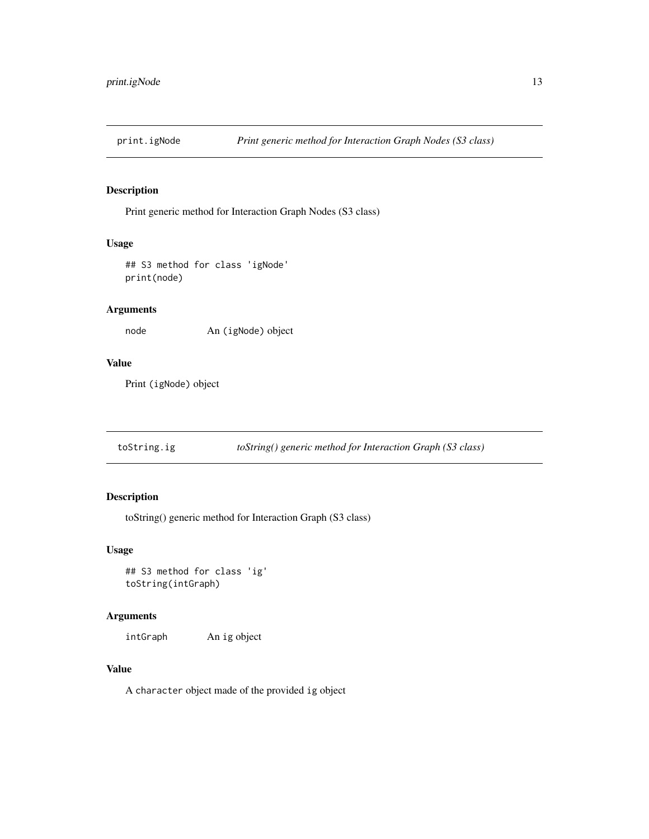<span id="page-12-0"></span>

Print generic method for Interaction Graph Nodes (S3 class)

#### Usage

## S3 method for class 'igNode' print(node)

#### Arguments

node An (igNode) object

#### Value

Print (igNode) object

toString.ig *toString() generic method for Interaction Graph (S3 class)*

### Description

toString() generic method for Interaction Graph (S3 class)

#### Usage

## S3 method for class 'ig' toString(intGraph)

#### Arguments

intGraph An ig object

#### Value

A character object made of the provided ig object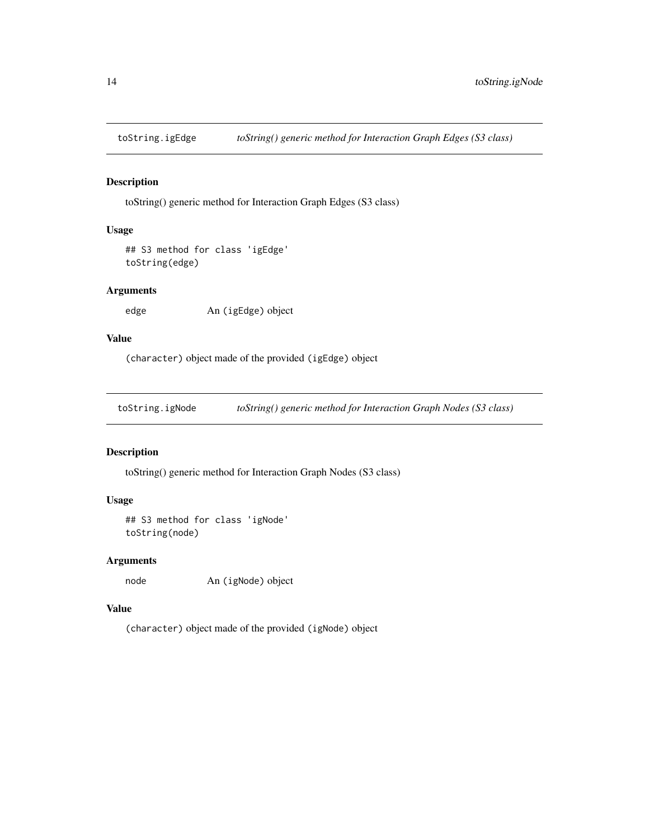<span id="page-13-0"></span>

toString() generic method for Interaction Graph Edges (S3 class)

#### Usage

```
## S3 method for class 'igEdge'
toString(edge)
```
#### Arguments

edge An (igEdge) object

#### Value

(character) object made of the provided (igEdge) object

toString.igNode *toString() generic method for Interaction Graph Nodes (S3 class)*

#### Description

toString() generic method for Interaction Graph Nodes (S3 class)

#### Usage

```
## S3 method for class 'igNode'
toString(node)
```
#### Arguments

node An (igNode) object

#### Value

(character) object made of the provided (igNode) object